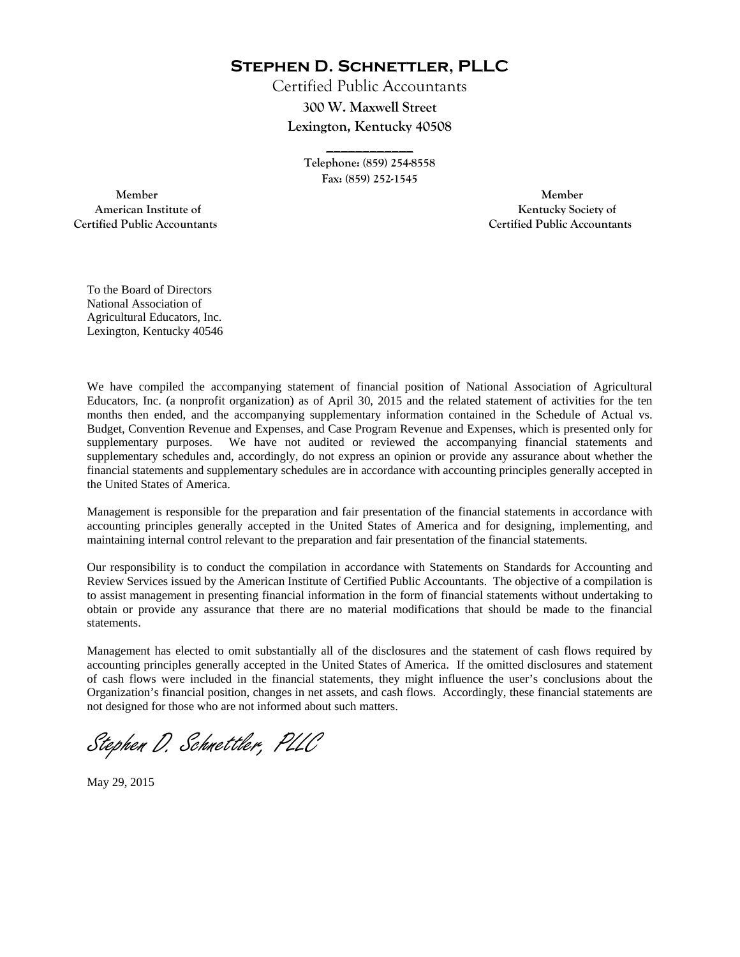**Stephen D. Schnettler, PLLC**

Certified Public Accountants **300 W. Maxwell Street Lexington, Kentucky 40508** 

> **Telephone: (859) 254-8558 Fax: (859) 252-1545**

**\_\_\_\_\_\_\_\_\_\_\_\_** 

 **Member Member Certified Public Accountants Certified Public Accountants** 

American Institute of **Kentucky Society of** 

To the Board of Directors National Association of Agricultural Educators, Inc. Lexington, Kentucky 40546

We have compiled the accompanying statement of financial position of National Association of Agricultural Educators, Inc. (a nonprofit organization) as of April 30, 2015 and the related statement of activities for the ten months then ended, and the accompanying supplementary information contained in the Schedule of Actual vs. Budget, Convention Revenue and Expenses, and Case Program Revenue and Expenses, which is presented only for supplementary purposes. We have not audited or reviewed the accompanying financial statements and supplementary schedules and, accordingly, do not express an opinion or provide any assurance about whether the financial statements and supplementary schedules are in accordance with accounting principles generally accepted in the United States of America.

Management is responsible for the preparation and fair presentation of the financial statements in accordance with accounting principles generally accepted in the United States of America and for designing, implementing, and maintaining internal control relevant to the preparation and fair presentation of the financial statements.

Our responsibility is to conduct the compilation in accordance with Statements on Standards for Accounting and Review Services issued by the American Institute of Certified Public Accountants. The objective of a compilation is to assist management in presenting financial information in the form of financial statements without undertaking to obtain or provide any assurance that there are no material modifications that should be made to the financial statements.

Management has elected to omit substantially all of the disclosures and the statement of cash flows required by accounting principles generally accepted in the United States of America. If the omitted disclosures and statement of cash flows were included in the financial statements, they might influence the user's conclusions about the Organization's financial position, changes in net assets, and cash flows. Accordingly, these financial statements are not designed for those who are not informed about such matters.

Stephen D. Schnettler, PLLC

May 29, 2015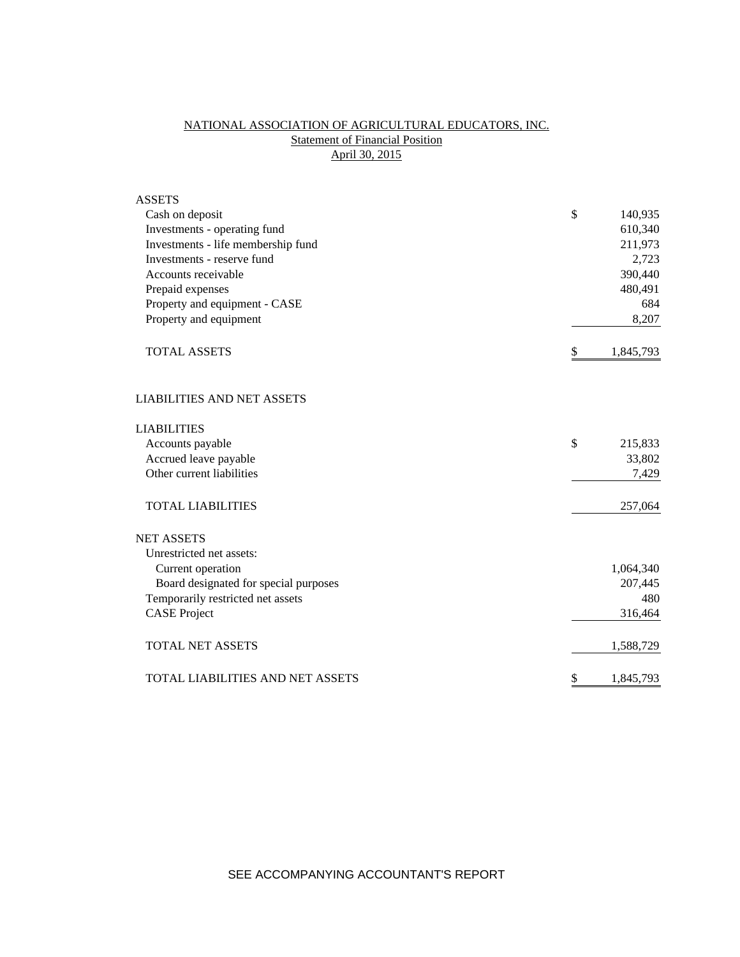# NATIONAL ASSOCIATION OF AGRICULTURAL EDUCATORS, INC. **Statement of Financial Position** April 30, 2015

| <b>ASSETS</b>                           |                 |
|-----------------------------------------|-----------------|
| Cash on deposit                         | \$<br>140,935   |
| Investments - operating fund            | 610,340         |
| Investments - life membership fund      | 211,973         |
| Investments - reserve fund              | 2,723           |
| Accounts receivable                     | 390,440         |
| Prepaid expenses                        | 480,491         |
| Property and equipment - CASE           | 684             |
| Property and equipment                  | 8,207           |
| <b>TOTAL ASSETS</b>                     | \$<br>1,845,793 |
| <b>LIABILITIES AND NET ASSETS</b>       |                 |
| <b>LIABILITIES</b>                      |                 |
| Accounts payable                        | \$<br>215,833   |
| Accrued leave payable                   | 33,802          |
| Other current liabilities               | 7,429           |
| <b>TOTAL LIABILITIES</b>                | 257,064         |
| <b>NET ASSETS</b>                       |                 |
| Unrestricted net assets:                |                 |
| Current operation                       | 1,064,340       |
| Board designated for special purposes   | 207,445         |
| Temporarily restricted net assets       | 480             |
| <b>CASE</b> Project                     | 316,464         |
| <b>TOTAL NET ASSETS</b>                 | 1,588,729       |
| <b>TOTAL LIABILITIES AND NET ASSETS</b> | \$<br>1,845,793 |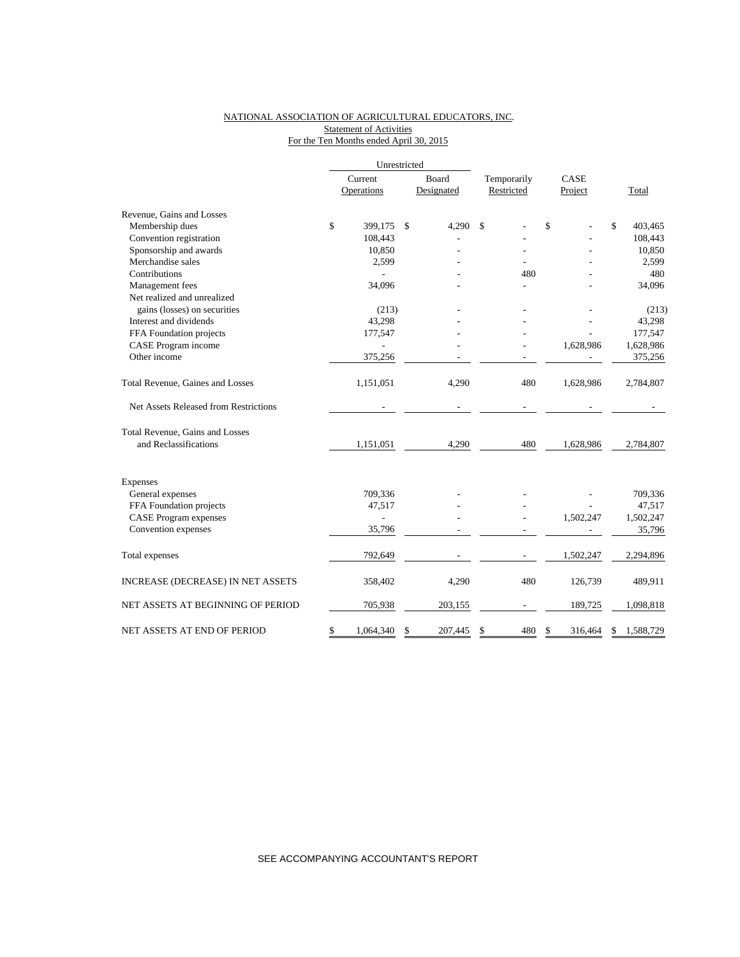### NATIONAL ASSOCIATION OF AGRICULTURAL EDUCATORS, INC. **Statement of Activities** For the Ten Months ended April 30, 2015

|                                       | Unrestricted    |               |             |               |                 |
|---------------------------------------|-----------------|---------------|-------------|---------------|-----------------|
|                                       | Current         | Board         | Temporarily | CASE          |                 |
|                                       | Operations      | Designated    | Restricted  | Project       | Total           |
| Revenue, Gains and Losses             |                 |               |             |               |                 |
| Membership dues                       | \$<br>399,175   | \$<br>4,290   | \$          | \$            | \$<br>403,465   |
| Convention registration               | 108,443         |               |             |               | 108,443         |
| Sponsorship and awards                | 10,850          |               |             |               | 10,850          |
| Merchandise sales                     | 2,599           |               |             |               | 2,599           |
| Contributions                         |                 |               | 480         |               | 480             |
| Management fees                       | 34,096          |               |             |               | 34,096          |
| Net realized and unrealized           |                 |               |             |               |                 |
| gains (losses) on securities          | (213)           |               |             |               | (213)           |
| Interest and dividends                | 43,298          |               |             |               | 43,298          |
| FFA Foundation projects               | 177,547         |               |             |               | 177,547         |
| CASE Program income                   |                 |               |             | 1,628,986     | 1,628,986       |
| Other income                          | 375,256         |               |             |               | 375,256         |
| Total Revenue, Gaines and Losses      | 1,151,051       | 4,290         | 480         | 1,628,986     | 2,784,807       |
| Net Assets Released from Restrictions |                 |               |             |               |                 |
| Total Revenue, Gains and Losses       |                 |               |             |               |                 |
| and Reclassifications                 | 1,151,051       | 4,290         | 480         | 1,628,986     | 2,784,807       |
| Expenses                              |                 |               |             |               |                 |
| General expenses                      | 709,336         |               |             |               | 709,336         |
| FFA Foundation projects               | 47,517          |               |             |               | 47,517          |
| <b>CASE Program expenses</b>          | $\overline{a}$  |               |             | 1,502,247     | 1,502,247       |
| Convention expenses                   | 35,796          |               |             |               | 35,796          |
| Total expenses                        | 792,649         |               |             | 1,502,247     | 2,294,896       |
|                                       |                 |               |             |               |                 |
| INCREASE (DECREASE) IN NET ASSETS     | 358,402         | 4,290         | 480         | 126,739       | 489,911         |
| NET ASSETS AT BEGINNING OF PERIOD     | 705,938         | 203,155       |             | 189,725       | 1,098,818       |
| NET ASSETS AT END OF PERIOD           | \$<br>1,064,340 | \$<br>207,445 | \$<br>480   | \$<br>316,464 | \$<br>1,588,729 |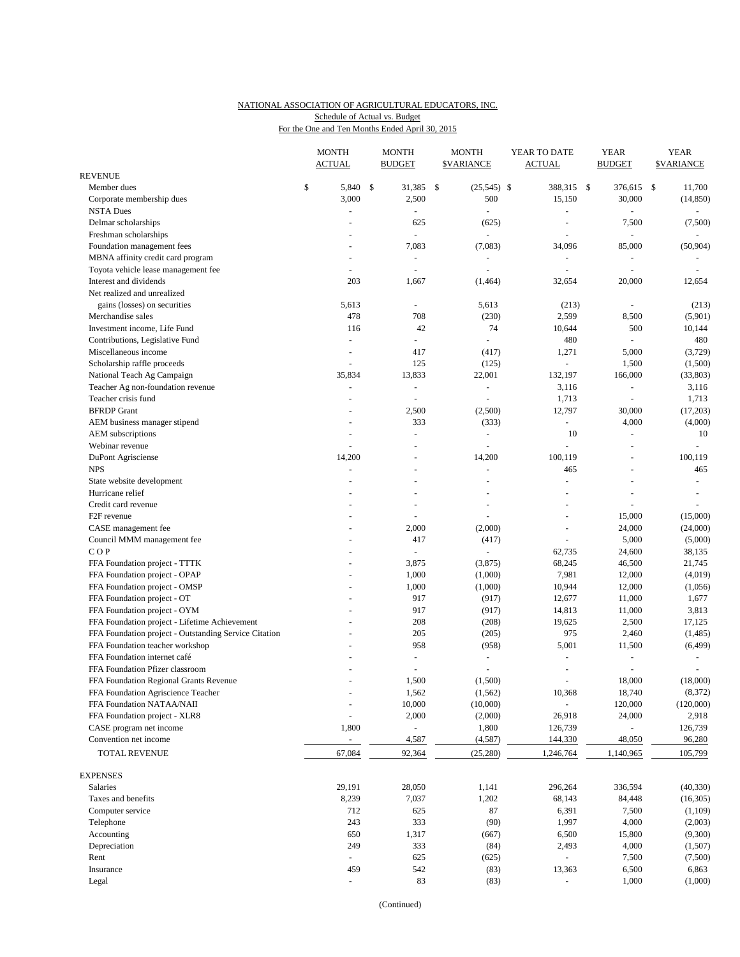#### NATIONAL ASSOCIATION OF AGRICULTURAL EDUCATORS, INC. For the One and Ten Months Ended April 30, 2015 Schedule of Actual vs. Budget

|                                                                 | <b>MONTH</b><br><b>ACTUAL</b> | <b>MONTH</b><br><b>BUDGET</b> | <b>MONTH</b><br><b><i>SVARIANCE</i></b> | YEAR TO DATE<br><b>ACTUAL</b> | <b>YEAR</b><br><b>BUDGET</b> |     | <b>YEAR</b><br><b>SVARIANCE</b> |
|-----------------------------------------------------------------|-------------------------------|-------------------------------|-----------------------------------------|-------------------------------|------------------------------|-----|---------------------------------|
| <b>REVENUE</b>                                                  |                               |                               |                                         |                               |                              |     |                                 |
| Member dues                                                     | \$<br>5,840                   | \$<br>31,385                  | \$<br>$(25,545)$ \$                     | 388,315 \$                    | 376,615                      | -\$ | 11,700                          |
| Corporate membership dues                                       | 3,000                         | 2,500                         | 500                                     | 15,150                        | 30,000                       |     | (14, 850)                       |
| <b>NSTA Dues</b>                                                |                               |                               | $\bar{\phantom{a}}$                     |                               |                              |     |                                 |
| Delmar scholarships                                             |                               | 625                           | (625)                                   | $\sim$                        | 7,500                        |     | (7,500)                         |
| Freshman scholarships                                           |                               | $\sim$                        | $\overline{a}$                          | $\sim$                        | ÷,                           |     | $\equiv$                        |
| Foundation management fees                                      |                               | 7,083                         | (7,083)                                 | 34,096                        | 85,000                       |     | (50, 904)                       |
| MBNA affinity credit card program                               |                               | $\overline{\phantom{a}}$      | L.                                      |                               | $\blacksquare$               |     |                                 |
| Toyota vehicle lease management fee                             | $\overline{\phantom{a}}$      | $\sim$                        | $\blacksquare$                          |                               | $\blacksquare$               |     |                                 |
| Interest and dividends                                          | 203                           | 1,667                         | (1,464)                                 | 32,654                        | 20,000                       |     | 12,654                          |
| Net realized and unrealized                                     |                               |                               |                                         |                               |                              |     |                                 |
| gains (losses) on securities                                    | 5,613                         |                               | 5,613                                   | (213)                         |                              |     | (213)                           |
| Merchandise sales                                               | 478                           | 708                           | (230)                                   | 2,599                         | 8,500                        |     | (5,901)                         |
| Investment income, Life Fund                                    | 116                           | 42                            | 74<br>÷                                 | 10,644                        | 500                          |     | 10,144                          |
| Contributions, Legislative Fund                                 | $\overline{\phantom{a}}$      | $\sim$                        |                                         | 480                           | $\equiv$                     |     | 480                             |
| Miscellaneous income                                            | ÷,<br>÷,                      | 417                           | (417)                                   | 1,271<br>$\omega$             | 5,000                        |     | (3,729)                         |
| Scholarship raffle proceeds                                     | 35,834                        | 125<br>13,833                 | (125)                                   | 132,197                       | 1,500<br>166,000             |     | (1,500)<br>(33,803)             |
| National Teach Ag Campaign<br>Teacher Ag non-foundation revenue | $\sim$                        | $\omega$                      | 22,001<br>÷,                            | 3,116                         | $\blacksquare$               |     | 3,116                           |
| Teacher crisis fund                                             |                               |                               | L.                                      |                               |                              |     |                                 |
| <b>BFRDP</b> Grant                                              |                               |                               |                                         | 1,713                         | $\blacksquare$               |     | 1,713                           |
|                                                                 |                               | 2,500<br>333                  | (2,500)                                 | 12,797<br>$\blacksquare$      | 30,000<br>4,000              |     | (17,203)<br>(4,000)             |
| AEM business manager stipend<br>AEM subscriptions               |                               | $\overline{a}$                | (333)<br>÷,                             | 10                            | ÷,                           |     | 10                              |
| Webinar revenue                                                 | $\sim$                        | $\overline{\phantom{a}}$      | ÷,                                      |                               | ÷,                           |     | $\sim$                          |
| DuPont Agrisciense                                              | 14,200                        |                               | 14,200                                  | 100,119                       |                              |     | 100,119                         |
| <b>NPS</b>                                                      | $\overline{\phantom{a}}$      | $\overline{a}$                | ÷,                                      | 465                           | ÷,                           |     | 465                             |
| State website development                                       |                               |                               |                                         |                               |                              |     | $\omega$                        |
| Hurricane relief                                                |                               |                               |                                         |                               |                              |     | $\bar{a}$                       |
| Credit card revenue                                             |                               |                               | L,                                      |                               | ÷,                           |     | ÷                               |
| F <sub>2F</sub> revenue                                         |                               | ÷,                            | L,                                      | $\sim$                        | 15,000                       |     | (15,000)                        |
| CASE management fee                                             |                               | 2,000                         | (2,000)                                 |                               | 24,000                       |     | (24,000)                        |
| Council MMM management fee                                      | ÷.                            | 417                           | (417)                                   | $\overline{\phantom{a}}$      | 5,000                        |     | (5,000)                         |
| COP                                                             |                               |                               | ÷,                                      | 62,735                        | 24,600                       |     | 38,135                          |
| FFA Foundation project - TTTK                                   |                               | 3,875                         | (3,875)                                 | 68,245                        | 46,500                       |     | 21,745                          |
| FFA Foundation project - OPAP                                   | ÷,                            | 1,000                         | (1,000)                                 | 7,981                         | 12,000                       |     | (4,019)                         |
| FFA Foundation project - OMSP                                   |                               | 1,000                         | (1,000)                                 | 10,944                        | 12,000                       |     | (1,056)                         |
| FFA Foundation project - OT                                     |                               | 917                           | (917)                                   | 12,677                        | 11,000                       |     | 1,677                           |
| FFA Foundation project - OYM                                    |                               | 917                           | (917)                                   | 14,813                        | 11,000                       |     | 3,813                           |
| FFA Foundation project - Lifetime Achievement                   |                               | 208                           | (208)                                   | 19,625                        | 2,500                        |     | 17,125                          |
| FFA Foundation project - Outstanding Service Citation           | $\ddot{}$                     | 205                           | (205)                                   | 975                           | 2,460                        |     | (1, 485)                        |
| FFA Foundation teacher workshop                                 |                               | 958                           | (958)                                   | 5,001                         | 11,500                       |     | (6, 499)                        |
| FFA Foundation internet café                                    |                               | $\sim$                        | $\equiv$                                |                               | $\overline{\phantom{a}}$     |     |                                 |
| FFA Foundation Pfizer classroom                                 |                               |                               | L,                                      |                               |                              |     |                                 |
| FFA Foundation Regional Grants Revenue                          |                               | 1,500                         | (1,500)                                 | $\sim$                        | 18,000                       |     | (18,000)                        |
| FFA Foundation Agriscience Teacher                              | $\overline{a}$                | 1,562                         | (1, 562)                                | 10,368                        | 18,740                       |     | (8,372)                         |
| FFA Foundation NATAA/NAII                                       | $\ddot{}$                     | 10,000                        | (10,000)                                |                               | 120,000                      |     | (120,000)                       |
| FFA Foundation project - XLR8                                   |                               | 2,000                         | (2,000)                                 | 26,918                        | 24,000                       |     | 2,918                           |
| CASE program net income                                         | 1,800                         |                               | 1,800                                   | 126,739                       |                              |     | 126,739                         |
| Convention net income                                           | $\overline{\phantom{a}}$      | 4,587                         | (4, 587)                                | 144,330                       | 48,050                       |     | 96,280                          |
| TOTAL REVENUE                                                   | 67,084                        | 92,364                        | (25, 280)                               | 1,246,764                     | 1,140,965                    |     | 105,799                         |
| <b>EXPENSES</b>                                                 |                               |                               |                                         |                               |                              |     |                                 |
| Salaries                                                        | 29,191                        | 28,050                        | 1,141                                   | 296,264                       | 336,594                      |     | (40, 330)                       |
| Taxes and benefits                                              | 8,239                         | 7,037                         | 1,202                                   | 68,143                        | 84,448                       |     | (16, 305)                       |
| Computer service                                                | 712                           | 625                           | 87                                      | 6,391                         | 7,500                        |     | (1,109)                         |
| Telephone                                                       | 243                           | 333                           | (90)                                    | 1,997                         | 4,000                        |     | (2,003)                         |
| Accounting                                                      | 650                           | 1,317                         | (667)                                   | 6,500                         | 15,800                       |     | (9,300)                         |
| Depreciation                                                    | 249                           | 333                           | (84)                                    | 2,493                         | 4,000                        |     | (1,507)                         |
| Rent                                                            | $\sim$                        | 625                           | (625)                                   |                               | 7,500                        |     | (7,500)                         |
| Insurance                                                       | 459                           | 542                           | (83)                                    | 13,363                        | 6,500                        |     | 6,863                           |
| Legal                                                           | $\overline{\phantom{a}}$      | 83                            | (83)                                    |                               | 1,000                        |     | (1,000)                         |
|                                                                 |                               |                               |                                         |                               |                              |     |                                 |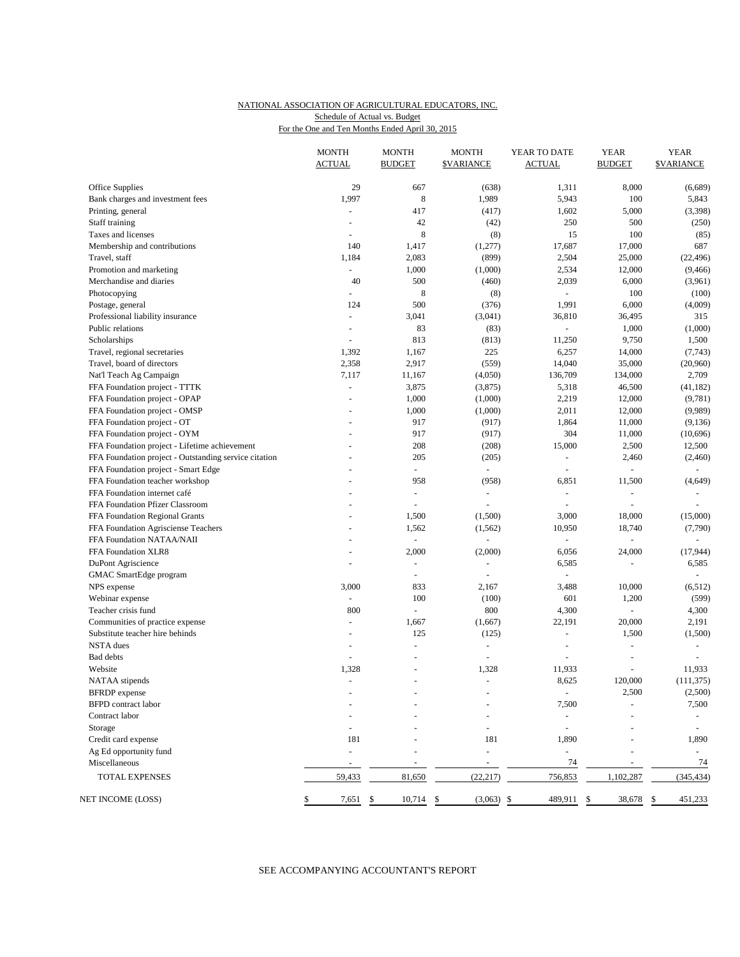#### NATIONAL ASSOCIATION OF AGRICULTURAL EDUCATORS, INC. For the One and Ten Months Ended April 30, 2015 Schedule of Actual vs. Budget

|                                                       | <b>ACTUAL</b>            | <b>BUDGET</b>            | <b>\$VARIANCE</b>        | <b>ACTUAL</b>            | <b>BUDGET</b>  | <b><i>SVARIANCE</i></b>  |
|-------------------------------------------------------|--------------------------|--------------------------|--------------------------|--------------------------|----------------|--------------------------|
|                                                       |                          |                          |                          |                          |                |                          |
| Office Supplies                                       | 29                       | 667                      | (638)                    | 1,311                    | 8,000          | (6,689)                  |
| Bank charges and investment fees                      | 1,997                    | 8                        | 1,989                    | 5,943                    | 100            | 5,843                    |
| Printing, general                                     | $\blacksquare$           | 417                      | (417)                    | 1,602                    | 5,000          | (3,398)                  |
| Staff training                                        |                          | 42                       | (42)                     | 250                      | 500            | (250)                    |
| Taxes and licenses                                    | $\overline{\phantom{a}}$ | 8                        | (8)                      | 15                       | 100            | (85)                     |
| Membership and contributions                          | 140                      | 1,417                    | (1,277)                  | 17,687                   | 17,000         | 687                      |
| Travel, staff                                         | 1,184                    | 2,083                    | (899)                    | 2,504                    | 25,000         | (22, 496)                |
| Promotion and marketing                               | $\overline{a}$           | 1,000                    | (1,000)                  | 2,534                    | 12,000         | (9, 466)                 |
| Merchandise and diaries                               | 40                       | 500                      | (460)                    | 2,039                    | 6,000          | (3,961)                  |
| Photocopying                                          | $\blacksquare$           | 8                        | (8)                      | ÷.                       | 100            | (100)                    |
| Postage, general                                      | 124                      | 500                      | (376)                    | 1,991                    | 6,000          | (4,009)                  |
| Professional liability insurance                      | $\blacksquare$           | 3,041                    | (3,041)                  | 36,810                   | 36,495         | 315                      |
| Public relations                                      | $\overline{\phantom{a}}$ | 83                       | (83)                     |                          | 1,000          | (1,000)                  |
| Scholarships                                          |                          | 813                      | (813)                    | 11,250                   | 9,750          | 1,500                    |
| Travel, regional secretaries                          | 1,392                    | 1,167                    | 225                      | 6,257                    | 14,000         | (7, 743)                 |
| Travel, board of directors                            | 2,358                    | 2,917                    | (559)                    | 14,040                   | 35,000         | (20,960)                 |
| Nat'l Teach Ag Campaign                               | 7,117                    | 11,167                   | (4,050)                  | 136,709                  | 134,000        | 2,709                    |
| FFA Foundation project - TTTK                         | ä,                       | 3,875                    | (3,875)                  | 5,318                    | 46,500         | (41, 182)                |
| FFA Foundation project - OPAP                         | $\overline{\phantom{a}}$ | 1,000                    | (1,000)                  | 2,219                    | 12,000         | (9,781)                  |
| FFA Foundation project - OMSP                         |                          | 1,000                    | (1,000)                  | 2,011                    | 12,000         | (9,989)                  |
| FFA Foundation project - OT                           | $\overline{\phantom{a}}$ | 917                      | (917)                    | 1,864                    | 11,000         | (9, 136)                 |
| FFA Foundation project - OYM                          | ÷                        | 917                      | (917)                    | 304                      | 11,000         | (10,696)                 |
| FFA Foundation project - Lifetime achievement         |                          | 208                      | (208)                    | 15,000                   | 2,500          | 12,500                   |
| FFA Foundation project - Outstanding service citation |                          | 205                      | (205)                    | $\sim$                   | 2,460          | (2, 460)                 |
| FFA Foundation project - Smart Edge                   |                          | $\omega$                 | $\omega$                 | $\sim$                   | ÷,             |                          |
| FFA Foundation teacher workshop                       |                          | 958                      | (958)                    | 6,851                    | 11,500         | (4, 649)                 |
| FFA Foundation internet café                          |                          | $\blacksquare$           | $\omega$                 | $\sim$                   | ÷,             |                          |
| FFA Foundation Pfizer Classroom                       |                          |                          | $\sim$                   |                          | ÷,             |                          |
|                                                       |                          | $\overline{\phantom{a}}$ |                          | $\overline{\phantom{a}}$ |                |                          |
| FFA Foundation Regional Grants                        |                          | 1,500                    | (1,500)                  | 3,000                    | 18,000         | (15,000)                 |
| FFA Foundation Agrisciense Teachers                   |                          | 1,562                    | (1, 562)                 | 10,950                   | 18,740         | (7,790)                  |
| FFA Foundation NATAA/NAII                             |                          | $\blacksquare$           |                          | $\omega$                 | $\frac{1}{2}$  |                          |
| FFA Foundation XLR8                                   | ÷                        | 2,000                    | (2,000)                  | 6,056                    | 24,000         | (17, 944)                |
| DuPont Agriscience                                    | L,                       | $\blacksquare$           | $\blacksquare$           | 6,585                    | ÷,             | 6,585                    |
| GMAC SmartEdge program                                |                          | $\overline{\phantom{a}}$ | $\sim$                   |                          |                |                          |
| NPS expense                                           | 3,000                    | 833                      | 2,167                    | 3,488                    | 10,000         | (6, 512)                 |
| Webinar expense                                       | ä,                       | 100                      | (100)                    | 601                      | 1,200          | (599)                    |
| Teacher crisis fund                                   | 800                      | $\blacksquare$           | 800                      | 4,300                    | ÷,             | 4,300                    |
| Communities of practice expense                       | $\overline{\phantom{a}}$ | 1,667                    | (1,667)                  | 22,191                   | 20,000         | 2,191                    |
| Substitute teacher hire behinds                       | $\overline{\phantom{a}}$ | 125                      | (125)                    | $\omega$                 | 1,500          | (1,500)                  |
| NSTA dues                                             | $\overline{\phantom{a}}$ | $\overline{a}$           | $\overline{a}$           | $\overline{a}$           | $\overline{a}$ | $\overline{a}$           |
| Bad debts                                             | $\omega$                 |                          | $\sim$                   | ÷,                       | ÷,             |                          |
| Website                                               | 1,328                    | $\overline{a}$           | 1,328                    | 11,933                   | $\bar{a}$      | 11,933                   |
| NATAA stipends                                        | $\overline{\phantom{a}}$ | $\blacksquare$           | $\overline{\phantom{a}}$ | 8,625                    | 120,000        | (111, 375)               |
| <b>BFRDP</b> expense                                  |                          |                          |                          | $\overline{\phantom{a}}$ | 2,500          | (2,500)                  |
| <b>BFPD</b> contract labor                            |                          |                          |                          | 7,500                    |                | 7,500                    |
| Contract labor                                        |                          |                          |                          |                          |                |                          |
| Storage                                               |                          |                          |                          | $\overline{\phantom{a}}$ |                | $\overline{\phantom{a}}$ |
| Credit card expense                                   | 181                      |                          | 181                      | 1,890                    |                | 1,890                    |
| Ag Ed opportunity fund                                | $\blacksquare$           |                          |                          | $\overline{\phantom{a}}$ |                | $\overline{\phantom{a}}$ |
| Miscellaneous                                         |                          |                          |                          | 74                       |                | 74                       |
| TOTAL EXPENSES                                        | 59,433                   | 81,650                   | (22, 217)                | 756,853                  | 1,102,287      | (345, 434)               |
| NET INCOME (LOSS)                                     | 7,651                    | 10,714<br>\$             | (3,063)<br>\$            | 489,911<br>\$            | 38,678<br>\$   | 451,233<br>\$            |

## SEE ACCOMPANYING ACCOUNTANT'S REPORT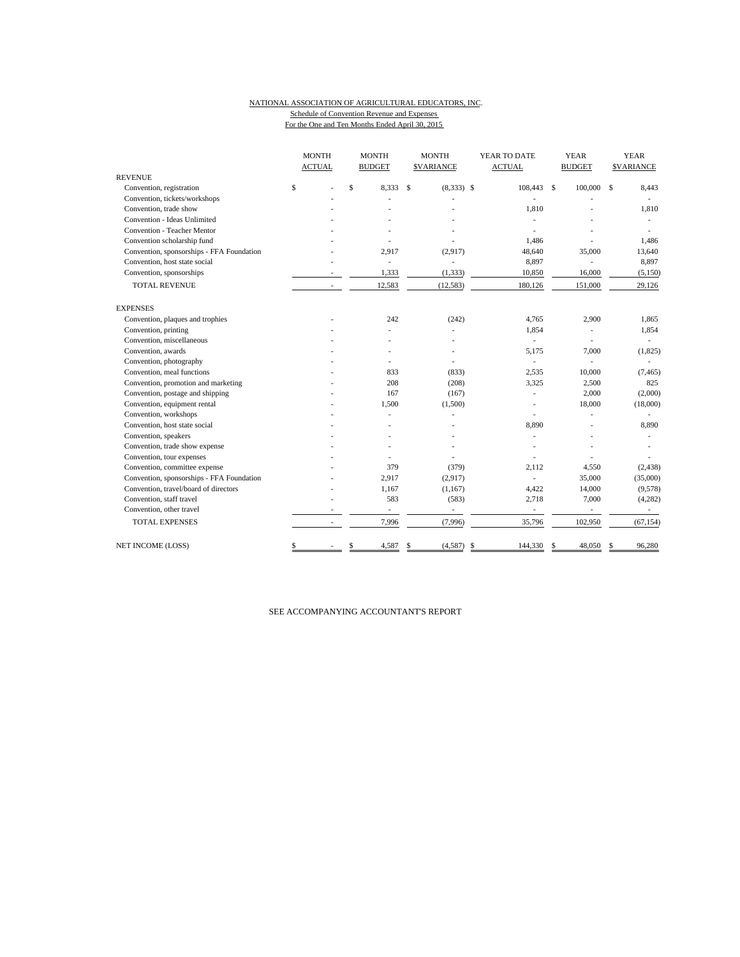#### NATIONAL ASSOCIATION OF AGRICULTURAL EDUCATORS, INC. Schedule of Convention Revenue and Expenses For the One and Ten Months Ended April 30, 2015

|                                           | <b>MONTH</b><br><b>ACTUAL</b> |              | <b>MONTH</b><br><b>BUDGET</b> |               | <b>MONTH</b><br><b>SVARIANCE</b> | YEAR TO DATE<br><b>ACTUAL</b> |      | <b>YEAR</b><br><b>BUDGET</b> |               | <b>YEAR</b><br><b>\$VARIANCE</b> |
|-------------------------------------------|-------------------------------|--------------|-------------------------------|---------------|----------------------------------|-------------------------------|------|------------------------------|---------------|----------------------------------|
| <b>REVENUE</b>                            |                               |              |                               |               |                                  |                               |      |                              |               |                                  |
| Convention, registration                  | \$                            | $\mathsf{s}$ | 8.333                         | <sup>\$</sup> | $(8,333)$ \$                     | 108,443                       | - \$ | 100,000                      | \$            | 8,443                            |
| Convention, tickets/workshops             |                               |              |                               |               |                                  |                               |      |                              |               |                                  |
| Convention, trade show                    |                               |              |                               |               |                                  | 1.810                         |      |                              |               | 1,810                            |
| Convention - Ideas Unlimited              |                               |              |                               |               |                                  |                               |      |                              |               |                                  |
| <b>Convention - Teacher Mentor</b>        |                               |              |                               |               |                                  |                               |      |                              |               |                                  |
| Convention scholarship fund               |                               |              |                               |               |                                  | 1,486                         |      |                              |               | 1,486                            |
| Convention, sponsorships - FFA Foundation |                               |              | 2.917                         |               | (2,917)                          | 48,640                        |      | 35,000                       |               | 13,640                           |
| Convention, host state social             |                               |              |                               |               |                                  | 8,897                         |      |                              |               | 8,897                            |
| Convention, sponsorships                  |                               |              | 1,333                         |               | (1, 333)                         | 10,850                        |      | 16,000                       |               | (5,150)                          |
| <b>TOTAL REVENUE</b>                      |                               |              | 12,583                        |               | (12, 583)                        | 180,126                       |      | 151,000                      |               | 29,126                           |
| <b>EXPENSES</b>                           |                               |              |                               |               |                                  |                               |      |                              |               |                                  |
| Convention, plaques and trophies          |                               |              | 242                           |               | (242)                            | 4.765                         |      | 2,900                        |               | 1,865                            |
| Convention, printing                      |                               |              |                               |               |                                  | 1,854                         |      | $\overline{\phantom{a}}$     |               | 1,854                            |
| Convention, miscellaneous                 |                               |              |                               |               |                                  | $\overline{\phantom{a}}$      |      |                              |               |                                  |
| Convention, awards                        |                               |              |                               |               |                                  | 5,175                         |      | 7,000                        |               | (1, 825)                         |
| Convention, photography                   |                               |              |                               |               |                                  | ٠                             |      |                              |               |                                  |
| Convention, meal functions                |                               |              | 833                           |               | (833)                            | 2,535                         |      | 10,000                       |               | (7, 465)                         |
| Convention, promotion and marketing       |                               |              | 208                           |               | (208)                            | 3,325                         |      | 2,500                        |               | 825                              |
| Convention, postage and shipping          |                               |              | 167                           |               | (167)                            |                               |      | 2,000                        |               | (2,000)                          |
| Convention, equipment rental              |                               |              | 1,500                         |               | (1,500)                          |                               |      | 18,000                       |               | (18,000)                         |
| Convention, workshops                     |                               |              |                               |               |                                  |                               |      |                              |               |                                  |
| Convention, host state social             |                               |              |                               |               |                                  | 8,890                         |      |                              |               | 8,890                            |
| Convention, speakers                      |                               |              |                               |               |                                  | ä,                            |      |                              |               |                                  |
| Convention, trade show expense            |                               |              |                               |               |                                  |                               |      |                              |               |                                  |
| Convention, tour expenses                 |                               |              |                               |               |                                  |                               |      |                              |               |                                  |
| Convention, committee expense             |                               |              | 379                           |               | (379)                            | 2,112                         |      | 4,550                        |               | (2, 438)                         |
| Convention, sponsorships - FFA Foundation |                               |              | 2,917                         |               | (2,917)                          |                               |      | 35,000                       |               | (35,000)                         |
| Convention, travel/board of directors     |                               |              | 1,167                         |               | (1,167)                          | 4,422                         |      | 14,000                       |               | (9,578)                          |
| Convention, staff travel                  |                               |              | 583                           |               | (583)                            | 2,718                         |      | 7,000                        |               | (4,282)                          |
| Convention, other travel                  |                               |              | $\overline{\phantom{a}}$      |               | ÷,                               | $\overline{\phantom{a}}$      |      | ÷,                           |               | $\sim$                           |
| <b>TOTAL EXPENSES</b>                     |                               |              | 7,996                         |               | (7,996)                          | 35,796                        |      | 102,950                      |               | (67, 154)                        |
| <b>NET INCOME (LOSS)</b>                  | \$                            | \$           | 4,587                         | S             | $(4,587)$ \$                     | 144,330                       | -\$  | 48.050                       | <sup>\$</sup> | 96,280                           |

SEE ACCOMPANYING ACCOUNTANT'S REPORT